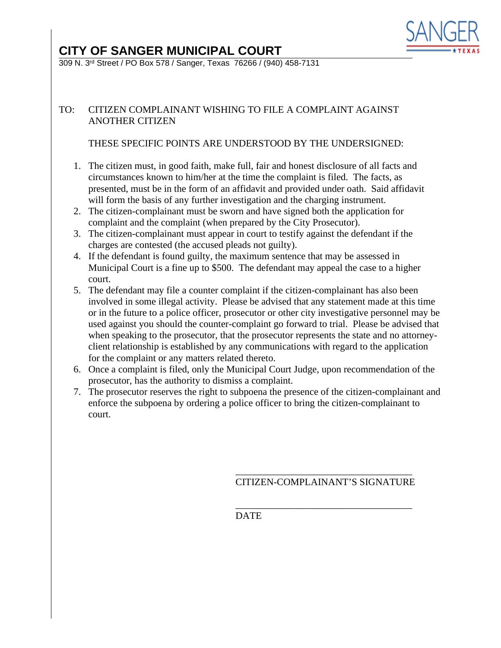

# **CITY OF SANGER MUNICIPAL COURT**

309 N. 3rd Street / PO Box 578 / Sanger, Texas 76266 / (940) 458-7131

# TO: CITIZEN COMPLAINANT WISHING TO FILE A COMPLAINT AGAINST ANOTHER CITIZEN

## THESE SPECIFIC POINTS ARE UNDERSTOOD BY THE UNDERSIGNED:

- 1. The citizen must, in good faith, make full, fair and honest disclosure of all facts and circumstances known to him/her at the time the complaint is filed. The facts, as presented, must be in the form of an affidavit and provided under oath. Said affidavit will form the basis of any further investigation and the charging instrument.
- 2. The citizen-complainant must be sworn and have signed both the application for complaint and the complaint (when prepared by the City Prosecutor).
- 3. The citizen-complainant must appear in court to testify against the defendant if the charges are contested (the accused pleads not guilty).
- 4. If the defendant is found guilty, the maximum sentence that may be assessed in Municipal Court is a fine up to \$500. The defendant may appeal the case to a higher court.
- 5. The defendant may file a counter complaint if the citizen-complainant has also been involved in some illegal activity. Please be advised that any statement made at this time or in the future to a police officer, prosecutor or other city investigative personnel may be used against you should the counter-complaint go forward to trial. Please be advised that when speaking to the prosecutor, that the prosecutor represents the state and no attorneyclient relationship is established by any communications with regard to the application for the complaint or any matters related thereto.
- 6. Once a complaint is filed, only the Municipal Court Judge, upon recommendation of the prosecutor, has the authority to dismiss a complaint.
- 7. The prosecutor reserves the right to subpoena the presence of the citizen-complainant and enforce the subpoena by ordering a police officer to bring the citizen-complainant to court.

#### \_\_\_\_\_\_\_\_\_\_\_\_\_\_\_\_\_\_\_\_\_\_\_\_\_\_\_\_\_\_\_\_\_\_\_\_ CITIZEN-COMPLAINANT'S SIGNATURE

\_\_\_\_\_\_\_\_\_\_\_\_\_\_\_\_\_\_\_\_\_\_\_\_\_\_\_\_\_\_\_\_\_\_\_\_ DATE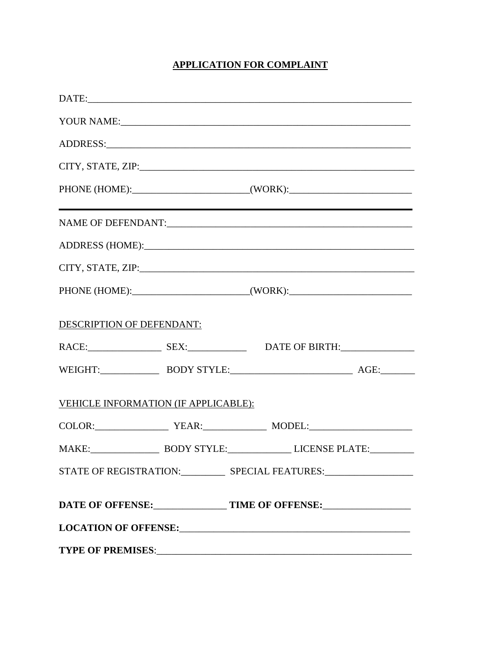# **APPLICATION FOR COMPLAINT**

|                                                                                                                                                                                                                                |  | PHONE (HOME):____________________________(WORK):________________________________ |  |  |
|--------------------------------------------------------------------------------------------------------------------------------------------------------------------------------------------------------------------------------|--|----------------------------------------------------------------------------------|--|--|
|                                                                                                                                                                                                                                |  | ,我们也不会有什么。""我们的人,我们也不会有什么?""我们的人,我们也不会有什么?""我们的人,我们也不会有什么?""我们的人,我们也不会有什么?""我们的人 |  |  |
|                                                                                                                                                                                                                                |  |                                                                                  |  |  |
|                                                                                                                                                                                                                                |  |                                                                                  |  |  |
|                                                                                                                                                                                                                                |  | PHONE (HOME):___________________________(WORK):_________________________________ |  |  |
| DESCRIPTION OF DEFENDANT:                                                                                                                                                                                                      |  |                                                                                  |  |  |
|                                                                                                                                                                                                                                |  | RACE: SEX: SEX: DATE OF BIRTH:                                                   |  |  |
|                                                                                                                                                                                                                                |  | WEIGHT: BODY STYLE: AGE:                                                         |  |  |
| VEHICLE INFORMATION (IF APPLICABLE):                                                                                                                                                                                           |  |                                                                                  |  |  |
|                                                                                                                                                                                                                                |  |                                                                                  |  |  |
|                                                                                                                                                                                                                                |  | MAKE: BODY STYLE: LICENSE PLATE:                                                 |  |  |
|                                                                                                                                                                                                                                |  |                                                                                  |  |  |
|                                                                                                                                                                                                                                |  |                                                                                  |  |  |
| LOCATION OF OFFENSE: University of the contract of the contract of the contract of the contract of the contract of the contract of the contract of the contract of the contract of the contract of the contract of the contrac |  |                                                                                  |  |  |
|                                                                                                                                                                                                                                |  |                                                                                  |  |  |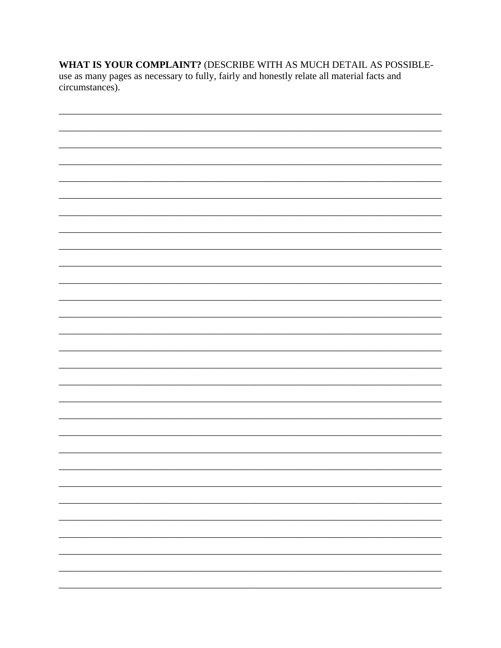WHAT IS YOUR COMPLAINT? (DESCRIBE WITH AS MUCH DETAIL AS POSSIBLEuse as many pages as necessary to fully, fairly and honestly relate all material facts and circumstances).